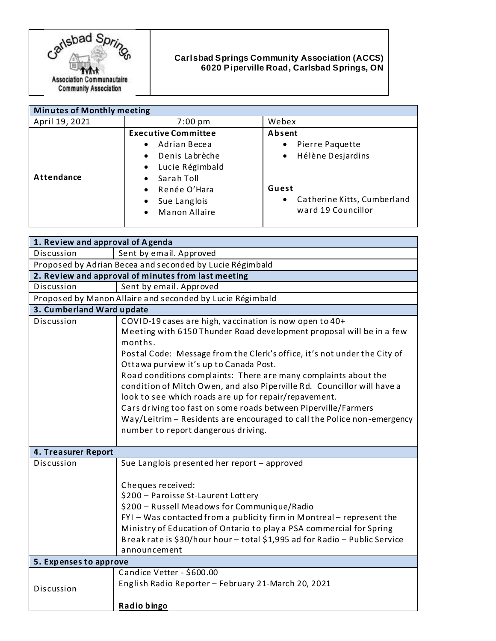

## **Carlsbad Springs Community Association (ACCS) 6020 Piperville Road, Carlsbad Springs, ON**

| <b>Minutes of Monthly meeting</b> |                                                                                                                                                                                                                                           |                                                                                                                                                     |
|-----------------------------------|-------------------------------------------------------------------------------------------------------------------------------------------------------------------------------------------------------------------------------------------|-----------------------------------------------------------------------------------------------------------------------------------------------------|
| April 19, 2021                    | $7:00 \text{ pm}$                                                                                                                                                                                                                         | Webex                                                                                                                                               |
| Attendance                        | <b>Executive Committee</b><br>Adrian Becea<br>$\bullet$<br>Denis Labrèche<br>$\bullet$<br>Lucie Régimbald<br>$\bullet$<br>Sarah Toll<br>$\bullet$<br>Renée O'Hara<br>$\bullet$<br>Sue Langlois<br>$\bullet$<br>Manon Allaire<br>$\bullet$ | Absent<br>Pierre Paquette<br>$\bullet$<br>Hélène Desjardins<br>$\bullet$<br>Guest<br>Catherine Kitts, Cumberland<br>$\bullet$<br>ward 19 Councillor |
|                                   |                                                                                                                                                                                                                                           |                                                                                                                                                     |

| 1. Review and approval of Agenda                          |                                                                                                                                                                                                                                                                                                                                                                                                                                                                                                                                                                                                                                                             |  |
|-----------------------------------------------------------|-------------------------------------------------------------------------------------------------------------------------------------------------------------------------------------------------------------------------------------------------------------------------------------------------------------------------------------------------------------------------------------------------------------------------------------------------------------------------------------------------------------------------------------------------------------------------------------------------------------------------------------------------------------|--|
| Discussion                                                | Sent by email. Approved                                                                                                                                                                                                                                                                                                                                                                                                                                                                                                                                                                                                                                     |  |
| Proposed by Adrian Becea and seconded by Lucie Régimbald  |                                                                                                                                                                                                                                                                                                                                                                                                                                                                                                                                                                                                                                                             |  |
| 2. Review and approval of minutes from last meeting       |                                                                                                                                                                                                                                                                                                                                                                                                                                                                                                                                                                                                                                                             |  |
| Discussion                                                | Sent by email. Approved                                                                                                                                                                                                                                                                                                                                                                                                                                                                                                                                                                                                                                     |  |
| Proposed by Manon Allaire and seconded by Lucie Régimbald |                                                                                                                                                                                                                                                                                                                                                                                                                                                                                                                                                                                                                                                             |  |
| 3. Cumberland Ward update                                 |                                                                                                                                                                                                                                                                                                                                                                                                                                                                                                                                                                                                                                                             |  |
| Discussion                                                | COVID-19 cases are high, vaccination is now open to 40+<br>Meeting with 6150 Thunder Road development proposal will be in a few<br>months.<br>Postal Code: Message from the Clerk's office, it's not under the City of<br>Ottawa purview it's up to Canada Post.<br>Road conditions complaints: There are many complaints about the<br>condition of Mitch Owen, and also Piperville Rd. Councillor will have a<br>look to see which roads are up for repair/repavement.<br>Cars driving too fast on some roads between Piperville/Farmers<br>Way/Leitrim - Residents are encouraged to call the Police non-emergency<br>number to report dangerous driving. |  |
| 4. Treasurer Report                                       |                                                                                                                                                                                                                                                                                                                                                                                                                                                                                                                                                                                                                                                             |  |
| Discussion                                                | Sue Langlois presented her report - approved<br>Cheques received:<br>\$200 - Paroisse St-Laurent Lottery<br>\$200 - Russell Meadows for Communique/Radio<br>FYI - Was contacted from a publicity firm in Montreal - represent the<br>Ministry of Education of Ontario to play a PSA commercial for Spring<br>Break rate is \$30/hour hour - total \$1,995 ad for Radio - Public Service<br>announcement                                                                                                                                                                                                                                                     |  |
| 5. Expenses to approve                                    |                                                                                                                                                                                                                                                                                                                                                                                                                                                                                                                                                                                                                                                             |  |
| Discussion                                                | Candice Vetter - \$600.00<br>English Radio Reporter - February 21-March 20, 2021<br>Radio bingo                                                                                                                                                                                                                                                                                                                                                                                                                                                                                                                                                             |  |